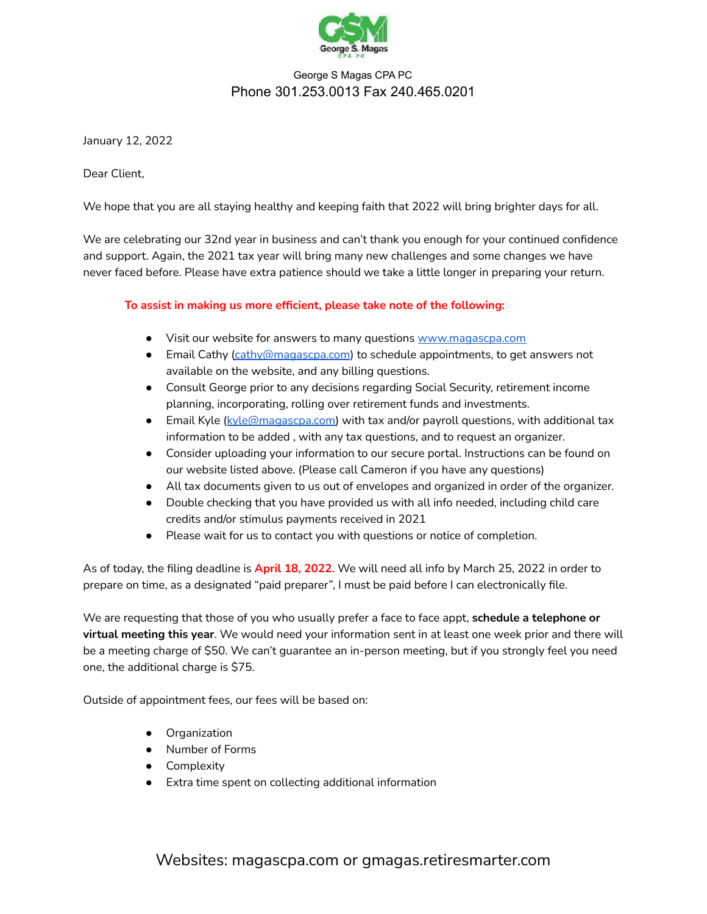

## George S Magas CPA PC Phone 301.253.0013 Fax 240.465.0201

January 12, 2022

Dear Client,

We hope that you are all staying healthy and keeping faith that 2022 will bring brighter days for all.

We are celebrating our 32nd year in business and can't thank you enough for your continued confidence and support. Again, the 2021 tax year will bring many new challenges and some changes we have never faced before. Please have extra patience should we take a little longer in preparing your return.

## **To assist in making us more efficient, please take note of the following:**

- Visit our website for answers to many questions [www.magascpa.com](http://www.magascpa.com)
- Email Cathy [\(cathy@magascpa.com](mailto:cathy@magascpa.com)) to schedule appointments, to get answers not available on the website, and any billing questions.
- Consult George prior to any decisions regarding Social Security, retirement income planning, incorporating, rolling over retirement funds and investments.
- Email Kyle ([kyle@magascpa.com\)](mailto:kyle@magascpa.com) with tax and/or payroll questions, with additional tax information to be added , with any tax questions, and to request an organizer.
- Consider uploading your information to our secure portal. Instructions can be found on our website listed above. (Please call Cameron if you have any questions)
- All tax documents given to us out of envelopes and organized in order of the organizer.
- Double checking that you have provided us with all info needed, including child care credits and/or stimulus payments received in 2021
- Please wait for us to contact you with questions or notice of completion.

As of today, the filing deadline is **April 18, 2022**. We will need all info by March 25, 2022 in order to prepare on time, as a designated "paid preparer", I must be paid before I can electronically file.

We are requesting that those of you who usually prefer a face to face appt, **schedule a telephone or virtual meeting this year**. We would need your information sent in at least one week prior and there will be a meeting charge of \$50. We can't guarantee an in-person meeting, but if you strongly feel you need one, the additional charge is \$75.

Outside of appointment fees, our fees will be based on:

- Organization
- Number of Forms
- **•** Complexity
- Extra time spent on collecting additional information